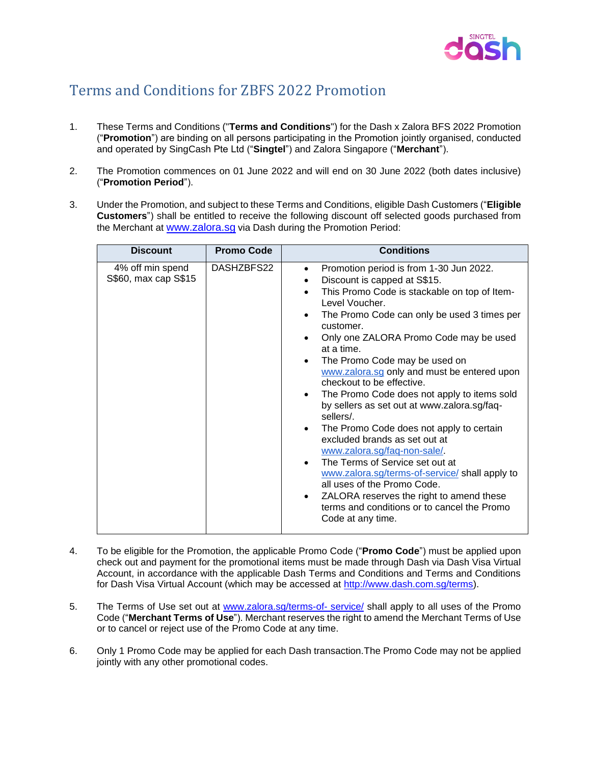

## Terms and Conditions for ZBFS 2022 Promotion

- 1. These Terms and Conditions ("**Terms and Conditions**") for the Dash x Zalora BFS 2022 Promotion ("**Promotion**") are binding on all persons participating in the Promotion jointly organised, conducted and operated by SingCash Pte Ltd ("**Singtel**") and Zalora Singapore ("**Merchant**").
- 2. The Promotion commences on 01 June 2022 and will end on 30 June 2022 (both dates inclusive) ("**Promotion Period**").
- 3. Under the Promotion, and subject to these Terms and Conditions, eligible Dash Customers ("**Eligible Customers**") shall be entitled to receive the following discount off selected goods purchased from the Merchant at [www.zalora.sg](http://www.zalora.sg/) via Dash during the Promotion Period:

| <b>Discount</b>                          | <b>Promo Code</b> | <b>Conditions</b>                                                                                                                                                                                                                                                                                                                                                                                                                                                                                                                                                                                                                                                                                                                                                                                                                                                                              |
|------------------------------------------|-------------------|------------------------------------------------------------------------------------------------------------------------------------------------------------------------------------------------------------------------------------------------------------------------------------------------------------------------------------------------------------------------------------------------------------------------------------------------------------------------------------------------------------------------------------------------------------------------------------------------------------------------------------------------------------------------------------------------------------------------------------------------------------------------------------------------------------------------------------------------------------------------------------------------|
| 4% off min spend<br>S\$60, max cap S\$15 | DASHZBFS22        | Promotion period is from 1-30 Jun 2022.<br>٠<br>Discount is capped at S\$15.<br>This Promo Code is stackable on top of Item-<br>Level Voucher.<br>The Promo Code can only be used 3 times per<br>customer.<br>Only one ZALORA Promo Code may be used<br>at a time.<br>The Promo Code may be used on<br>$\bullet$<br>www.zalora.sg only and must be entered upon<br>checkout to be effective.<br>The Promo Code does not apply to items sold<br>$\bullet$<br>by sellers as set out at www.zalora.sg/faq-<br>sellers/.<br>The Promo Code does not apply to certain<br>excluded brands as set out at<br>www.zalora.sg/faq-non-sale/<br>The Terms of Service set out at<br>$\bullet$<br>www.zalora.sg/terms-of-service/ shall apply to<br>all uses of the Promo Code.<br>ZALORA reserves the right to amend these<br>$\bullet$<br>terms and conditions or to cancel the Promo<br>Code at any time. |

- 4. To be eligible for the Promotion, the applicable Promo Code ("**Promo Code**") must be applied upon check out and payment for the promotional items must be made through Dash via Dash Visa Virtual Account, in accordance with the applicable Dash Terms and Conditions and Terms and Conditions for Dash Visa Virtual Account (which may be accessed at [http://www.dash.com.sg/terms\)](http://www.dash.com.sg/terms).
- 5. The Terms of Use set out at [www.zalora.sg/terms-of-](http://www.zalora.sg/terms-of-%20service/) service/ shall apply to all uses of the Promo Code ("**Merchant Terms of Use**"). Merchant reserves the right to amend the Merchant Terms of Use or to cancel or reject use of the Promo Code at any time.
- 6. Only 1 Promo Code may be applied for each Dash transaction.The Promo Code may not be applied jointly with any other promotional codes.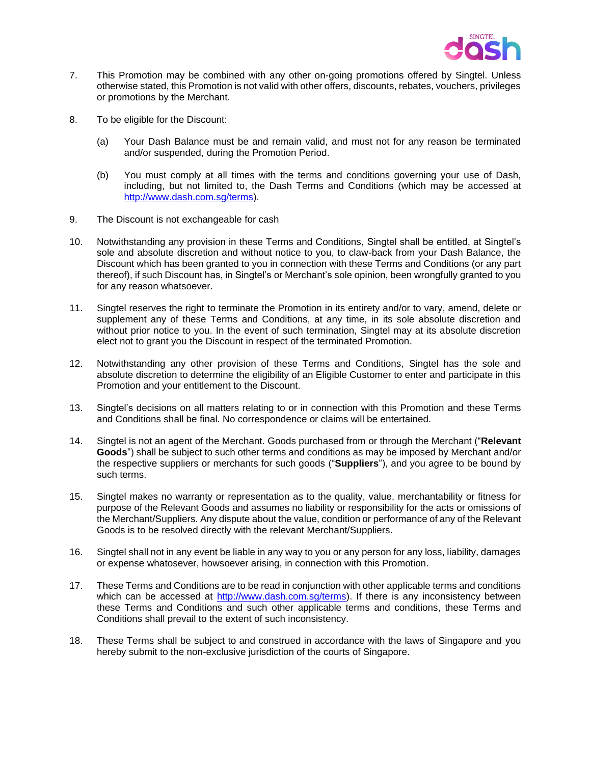

- 7. This Promotion may be combined with any other on-going promotions offered by Singtel. Unless otherwise stated, this Promotion is not valid with other offers, discounts, rebates, vouchers, privileges or promotions by the Merchant.
- 8. To be eligible for the Discount:
	- (a) Your Dash Balance must be and remain valid, and must not for any reason be terminated and/or suspended, during the Promotion Period.
	- (b) You must comply at all times with the terms and conditions governing your use of Dash, including, but not limited to, the Dash Terms and Conditions (which may be accessed at [http://www.dash.com.sg/terms\)](http://www.dash.com.sg/terms).
- 9. The Discount is not exchangeable for cash
- 10. Notwithstanding any provision in these Terms and Conditions, Singtel shall be entitled, at Singtel's sole and absolute discretion and without notice to you, to claw-back from your Dash Balance, the Discount which has been granted to you in connection with these Terms and Conditions (or any part thereof), if such Discount has, in Singtel's or Merchant's sole opinion, been wrongfully granted to you for any reason whatsoever.
- 11. Singtel reserves the right to terminate the Promotion in its entirety and/or to vary, amend, delete or supplement any of these Terms and Conditions, at any time, in its sole absolute discretion and without prior notice to you. In the event of such termination, Singtel may at its absolute discretion elect not to grant you the Discount in respect of the terminated Promotion.
- 12. Notwithstanding any other provision of these Terms and Conditions, Singtel has the sole and absolute discretion to determine the eligibility of an Eligible Customer to enter and participate in this Promotion and your entitlement to the Discount.
- 13. Singtel's decisions on all matters relating to or in connection with this Promotion and these Terms and Conditions shall be final. No correspondence or claims will be entertained.
- 14. Singtel is not an agent of the Merchant. Goods purchased from or through the Merchant ("**Relevant Goods**") shall be subject to such other terms and conditions as may be imposed by Merchant and/or the respective suppliers or merchants for such goods ("**Suppliers**"), and you agree to be bound by such terms.
- 15. Singtel makes no warranty or representation as to the quality, value, merchantability or fitness for purpose of the Relevant Goods and assumes no liability or responsibility for the acts or omissions of the Merchant/Suppliers. Any dispute about the value, condition or performance of any of the Relevant Goods is to be resolved directly with the relevant Merchant/Suppliers.
- 16. Singtel shall not in any event be liable in any way to you or any person for any loss, liability, damages or expense whatosever, howsoever arising, in connection with this Promotion.
- 17. These Terms and Conditions are to be read in conjunction with other applicable terms and conditions which can be accessed at [http://www.dash.com.sg/terms\)](http://www.dash.com.sg/terms). If there is any inconsistency between these Terms and Conditions and such other applicable terms and conditions, these Terms and Conditions shall prevail to the extent of such inconsistency.
- 18. These Terms shall be subject to and construed in accordance with the laws of Singapore and you hereby submit to the non-exclusive jurisdiction of the courts of Singapore.